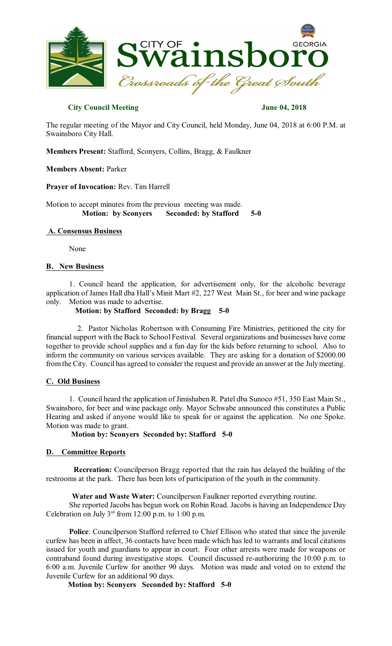

### **City Council Meeting June 04, 2018**

The regular meeting of the Mayor and City Council, held Monday, June 04, 2018 at 6:00 P.M. at Swainsboro City Hall.

**Members Present:** Stafford, Sconyers, Collins, Bragg, & Faulkner

#### **Members Absent:** Parker

**Prayer of Invocation:** Rev. Tim Harrell

Motion to accept minutes from the previous meeting was made. **Motion: by Sconyers Seconded: by Stafford 5-0** 

# **A. Consensus Business**

None

#### **B. New Business**

1. Council heard the application, for advertisement only, for the alcoholic beverage application of James Hall dba Hall's Minit Mart #2, 227 West Main St., for beer and wine package only. Motion was made to advertise.

### **Motion: by Stafford Seconded: by Bragg 5-0**

2. Pastor Nicholas Robertson with Consuming Fire Ministries, petitioned the city for financial support with the Back to School Festival. Several organizations and businesses have come together to provide school supplies and a fun day for the kids before returning to school. Also to inform the community on various services available. They are asking for a donation of \$2000.00 fromthe City. Council has agreed to consider the request and provide an answer at the Julymeeting.

#### **C. Old Business**

1. Council heard the application of Jimishaben R. Patel dba Sunoco #51, 350 East Main St., Swainsboro, for beer and wine package only. Mayor Schwabe announced this constitutes a Public Hearing and asked if anyone would like to speak for or against the application. No one Spoke. Motion was made to grant.

**Motion by: Sconyers Seconded by: Stafford 5-0** 

# **D. Committee Reports**

**Recreation:** Councilperson Bragg reported that the rain has delayed the building of the restrooms at the park. There has been lots of participation of the youth in the community.

**Water and Waste Water:** Councilperson Faulkner reported everything routine.

She reported Jacobs has begun work on Robin Road. Jacobs is having an Independence Day Celebration on July  $3<sup>rd</sup>$  from 12:00 p.m. to 1:00 p.m.

**Police**: Councilperson Stafford referred to Chief Ellison who stated that since the juvenile curfew has been in affect, 36 contacts have been made which has led to warrants and local citations issued for youth and guardians to appear in court. Four other arrests were made for weapons or contraband found during investigative stops. Council discussed re-authorizing the 10:00 p.m. to 6:00 a.m. Juvenile Curfew for another 90 days. Motion was made and voted on to extend the Juvenile Curfew for an additional 90 days.

**Motion by: Sconyers Seconded by: Stafford 5-0**